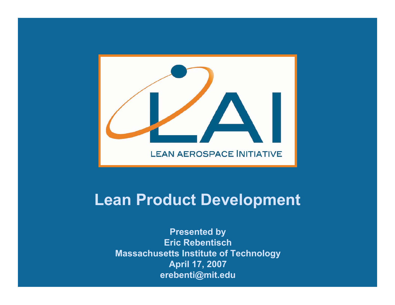

#### **Lean Product Development**

**Presented by Eric Rebentisch Massachusetts Institute of Technology April 17, 2007 erebenti@mit.edu**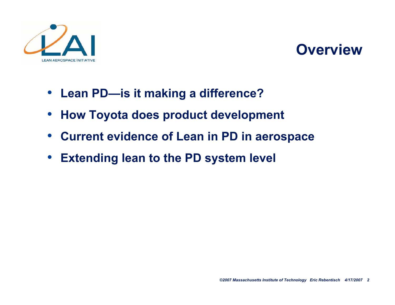

#### **Overview**

- **Lean PD—is it making a difference?**
- **How Toyota does product development**
- **Current evidence of Lean in PD in aerospace**
- **Extending lean to the PD system level**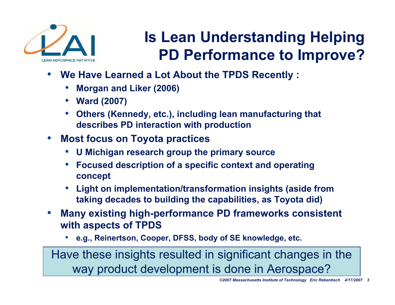

# **Is Lean Understanding Helping PD Performance to Improve?**

- **W e Ha v e Le a rned a Lot About the TPDS Re c ently :**
	- **Morgan and Liker (2006)**
	- **Ward (2007)**
	- **Others (Kennedy, etc.), including lean manufacturing that describes PD interaction with production**
- **Most focus on Toyota practices**
	- **U Michigan research group the primary source**
	- **Focused description of a specific context and operating concept**
	- **Light on implementation/transformation insights (aside from taking decades to building the capabilities, as Toyota did)**
- **Many existing high-performance PD frameworks consistent with aspects of TPDS**
	- **e.g., Reinertson, Cooper, DFSS, body of SE knowledge, etc.**

Have these insights resulted in significant changes in the way product development is done in Aerospace?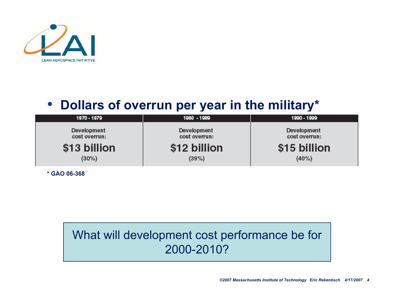

#### • Dollars of overrun per year in the military\*

| 1970 - 1979                  | 1980 - 1989                  | 1990 - 1999                  |
|------------------------------|------------------------------|------------------------------|
| Development<br>cost overrun: | Development<br>cost overrun: | Development<br>cost overrun: |
| \$13 billion                 | \$12 billion                 | \$15 billion                 |
| $(30\%)$                     | (39%)                        | $(40\%)$                     |

**\* G A O 0 6-3 6 8**

#### What will development cost performance be for 2000-2010?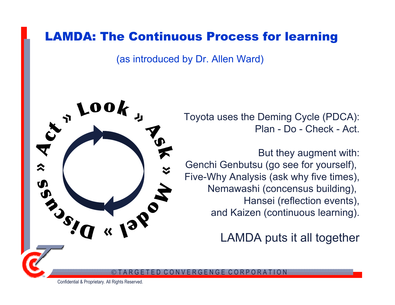#### LAMDA: The Continuous Process for learning

(as introduced by Dr. Allen Ward)



Toyota uses the Deming Cycle (PDCA): Plan - Do - Check - Act.

But they augment with: Genchi Genbutsu (go see for yourself), Five-Why Analysis (ask why five times), Nemawashi (concensus building), Hansei (reflection events), and Kaizen (continuous learning).

LAMDA puts it all together

 $\odot$ T A R G E T E D  $\mathbf{C}$  $\bigcirc$ N  $\mathsf{W}% _{T}=\mathsf{W}_{T}\!\left( a,b\right) ,\ \mathsf{W}_{T}=\mathsf{W}_{T} \!\left( a,b\right) ,\ \mathsf{W}_{T}=\mathsf{W}_{T} \!\left( a,b\right) ,\ \mathsf{W}_{T}=\mathsf{W}_{T} \!\left( a,b\right) ,\ \mathsf{W}_{T}=\mathsf{W}_{T} \!\left( a,b\right) ,\ \mathsf{W}_{T}=\mathsf{W}_{T} \!\left( a,b\right) ,\ \mathsf{W}_{T}=\mathsf{W}_{T} \!\left( a,b\right) ,\ \mathsf{W}_{T}=\mathsf{W}_{T} \!\left( a,b\right) ,\ \mathsf$ E R GENGE CORPOR A T I O N

Confidential & Proprietary. All Rights Reserved.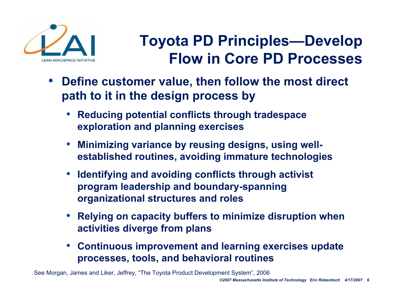

# **Toyota PD Principles—Develop Flow in Core PD Processes**

- **Define customer value, then follow the most direct**  path to it in the design process by
	- **Reducing potential conflicts through tradespace exploration and planning exercises**
	- **Minimizing variance by reusing designs, using wellestablished routines, avoiding immature technologies**
	- **Identifying and avoiding conflicts through activist**  program leadership and boundary-spanning **organizational structures and roles**
	- **Relying on capacity buffers to minimize disruption when**  activities diverge from plans
	- **Continuous improvement and learning exercises update processes, tools, and behavioral routines**

See Morgan, James and Liker, Jeffrey, "The Toyota Product Development System", 2006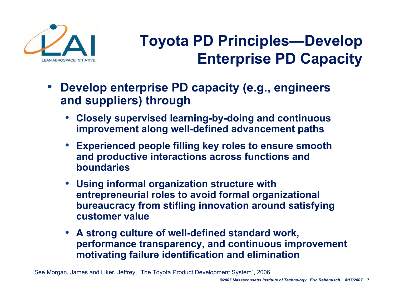

# **Toyota PD Principles—Develop Enterprise PD Capacity**

- **Develop enterprise PD capacity (e.g., engineers and suppliers) through** 
	- **Closely supervised learning-by-doing and continuous improvement along well-defined advancement paths**
	- **Experienced people filling key roles to ensure smooth and productive interactions across functions and boundaries**
	- **Using informal organization structure with entrepreneurial roles to avoid formal organizational bureaucracy from stiflin g innovation a round satisfying customer value**
	- **A strong culture of well-defined standard work, performance transparency, and continuous improvement**  motivating failure identification and elimination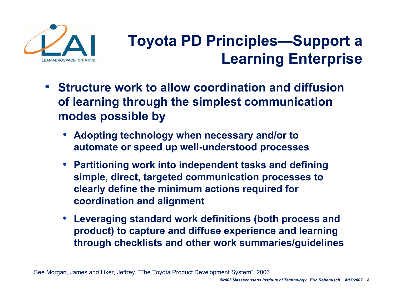

# **Toyota PD Principles—Support a Learning Enterprise**

- Structure work to allow coordination and diffusion **of learning through the simplest communication**  modes possible by
	- **Adopting technology when necessary and/or to automate or speed up well-understood processes**
	- **Partitioning work into independent tasks and defining sim ple, dir e c t, t a r g e t e d communication processes to clearly define the minimum actions required for coordination and alignment**
	- **Leveraging standard work definitions (both process and product) to capture and diffuse experience and learning through checklists and other work summaries/guidelines**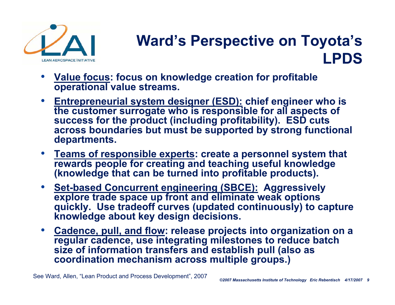

#### **Ward's Perspective on Toyota's LPDS**

- **Value focus: focus on knowledge creation for profitable operational value streams.**
- **Entrepreneurial system designer (ESD): chief engineer who is the customer surrogate who is responsible for all aspects of success for the product (including profita bility ). ESD cuts**  across boundaries but must be supported by strong functional<br>departments. **epartments.**
- Teams of responsible experts: create a personnel system that **rewards people for creating and teaching useful knowledge (knowledge that can be turned into profitable products).**
- **Set-based Concurrent engineering (SBCE): Aggressively explore trade space up front and eliminate weak options quickly. Use tradeoff curves (updated continuously) to capture knowledge about key design decisions.**
- **Cadence, pull, and flow: release projects into organization on a regular cadence, use integrating milestones to reduce batch size of information transfers and establish pull (also as coordination mechanism across multiple groups.)**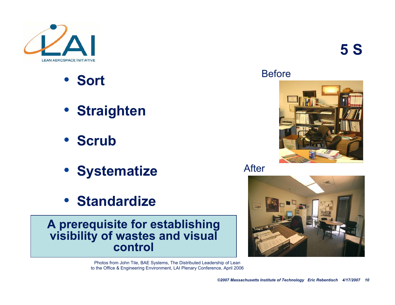

- **Sort**
- **Straighten**
- **•** Scrub
- **S y s t e m a tiz e**
- **•** Standardize

**A prerequisite for establishing visibility of wastes and visual control**

> Photos from John Tile, BAE Systems, The Distributed Leadership of Lean to the Office & Engineering Environment, LAI Plenary Conference, April 2006





After

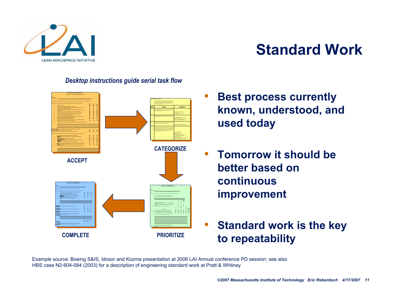

#### **Standard Work**

#### *Desktop instructions guide serial task flow*



- **Best process currently**  known, understood, and used today
- Tomorrow it should be **better based on continuous improvement**
- **Standard work is the key to r e p e ata bility**

Example source: Boeing S&IS, Idosor and Kozma presentation at 2006 LAI Annual conference PD session; see also HBS case N2-604-084 (2003) for a description of engineering standard work at Pratt & Whitney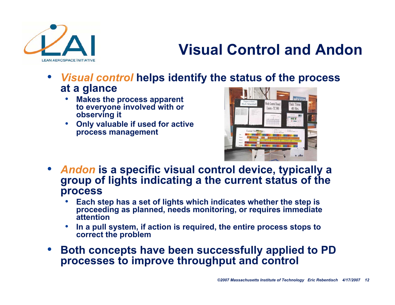

### **Visual Control and Andon**

- Visual control helps identify the status of the process **at a glance**
	- $\bullet$ **Makes the process apparent** to everyone involved with or **observing it**
	- **Only valuable if used for active**  process management



- Andon is a specific visual control device, typically a group of lights indicating a the current status of the **process**
	- **Each step has a set of lights w hich indicates whether the step is**  proceeding as planned, needs monitoring, or requires immediate **attention**
	- **•** In a pull system, if action is required, the entire process stops to **correct the problem**
- Both concepts have been successfully applied to PD processes to improve throughput and control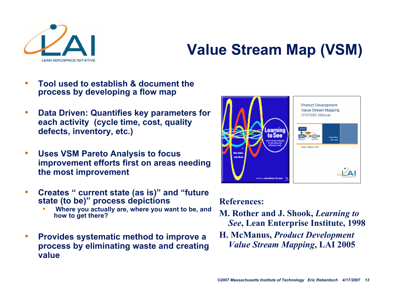

### **Value Stream Map (VSM)**

- Tool used to establish & document the process by developing a flow map
- **•** Data Driven: Quantifies key parameters for each activity (cycle time, cost, quality defects, inventory, etc.)
- Uses VSM Pareto Analysis to focus improvement efforts first on areas needing **the most improvement**
- Creates " current state (as is)" and "future state (to be)" process depictions
	- . Where you actually are, where you want to be, and **h o w t o g et t h ere ?**
- Provides systematic method to improve a process by eliminating waste and creating **v alu e**



#### **References:**

- **M. Rother and J. Shook,** *Learning to See***, Lean Enterprise Institute, 1998**
- **H. McManus,** *Product Development Value Stream Mapping***, LAI 2005**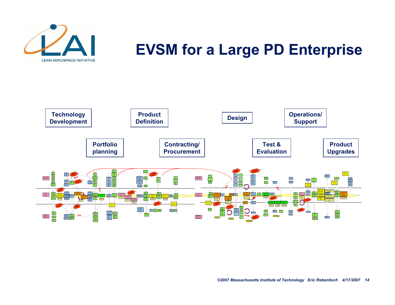

#### **EVSM for a Large PD Enterprise**

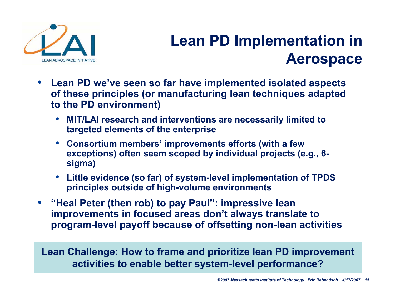

#### **Lean PD Implementation in Aerospace**

- **Lean PD we've seen so far have implemented isolated aspects of these principles (or manufacturing lean techniques adapted to the PD environment)**
	- **MIT/LAI research and interventions are necessarily limited to targeted elements of the enterprise**
	- **Consortium members' improvements efforts (with a few exceptions) often seem scoped by individual projects (e.g., 6 sigma)**
	- **Little evidence (so far) of system-level implementation of TPDS principles outside of high-volume environments**
- **"Heal Peter (then rob) to pay Paul": impressive lean improvements in focused areas don't always translate to program-level payoff because of offsetting non-lean activities**

**Lean Challenge: How to frame and prioritize lean PD improvement activities to enable better system-level performance?**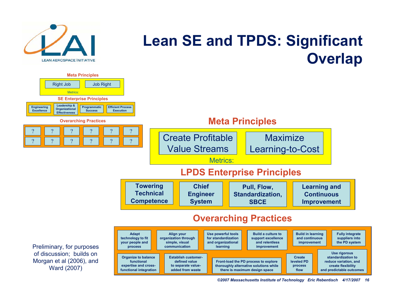

#### **Lean SE and TPDS: Significant Overlap**